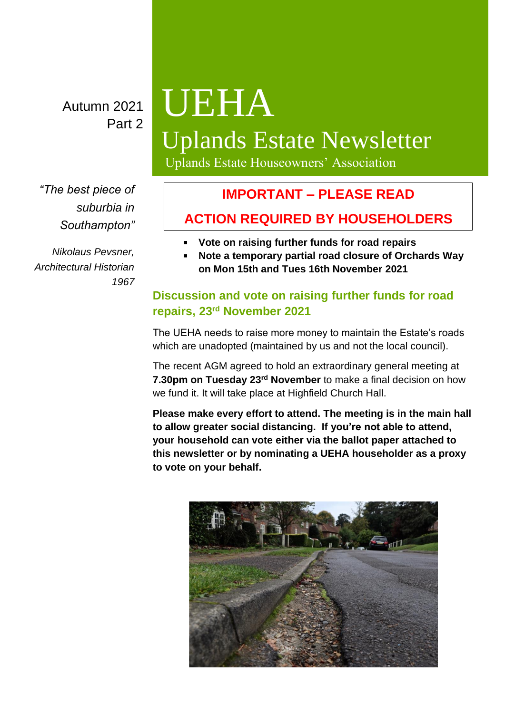Autumn 2021 Part 2

# *"The best piece of suburbia in Southampton"*

*Nikolaus Pevsner, Architectural Historian 1967*

# UEHA

# Uplands Estate Newsletter

Uplands Estate Houseowners' Association

# **IMPORTANT – PLEASE READ**

# **ACTION REQUIRED BY HOUSEHOLDERS**

- **Vote on raising further funds for road repairs**
- **Note a temporary partial road closure of Orchards Way on Mon 15th and Tues 16th November 2021**

## **Discussion and vote on raising further funds for road repairs, 23rd November 2021**

The UEHA needs to raise more money to maintain the Estate's roads which are unadopted (maintained by us and not the local council).

The recent AGM agreed to hold an extraordinary general meeting at **7.30pm on Tuesday 23rd November** to make a final decision on how we fund it. It will take place at Highfield Church Hall.

**Please make every effort to attend. The meeting is in the main hall to allow greater social distancing. If you're not able to attend, your household can vote either via the ballot paper attached to this newsletter or by nominating a UEHA householder as a proxy to vote on your behalf.** 

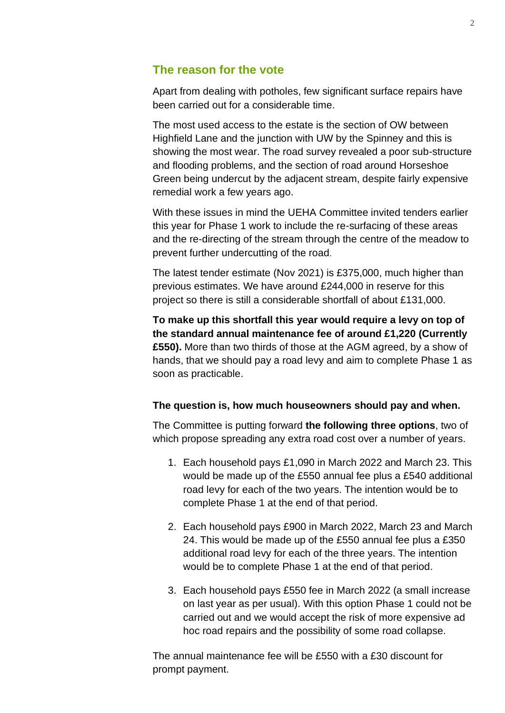#### **The reason for the vote**

Apart from dealing with potholes, few significant surface repairs have been carried out for a considerable time.

The most used access to the estate is the section of OW between Highfield Lane and the junction with UW by the Spinney and this is showing the most wear. The road survey revealed a poor sub-structure and flooding problems, and the section of road around Horseshoe Green being undercut by the adjacent stream, despite fairly expensive remedial work a few years ago.

With these issues in mind the UEHA Committee invited tenders earlier this year for Phase 1 work to include the re-surfacing of these areas and the re-directing of the stream through the centre of the meadow to prevent further undercutting of the road.

The latest tender estimate (Nov 2021) is £375,000, much higher than previous estimates. We have around £244,000 in reserve for this project so there is still a considerable shortfall of about £131,000.

**To make up this shortfall this year would require a levy on top of the standard annual maintenance fee of around £1,220 (Currently £550).** More than two thirds of those at the AGM agreed, by a show of hands, that we should pay a road levy and aim to complete Phase 1 as soon as practicable.

#### **The question is, how much houseowners should pay and when.**

The Committee is putting forward **the following three options**, two of which propose spreading any extra road cost over a number of years.

- 1. Each household pays £1,090 in March 2022 and March 23. This would be made up of the £550 annual fee plus a £540 additional road levy for each of the two years. The intention would be to complete Phase 1 at the end of that period.
- 2. Each household pays £900 in March 2022, March 23 and March 24. This would be made up of the £550 annual fee plus a £350 additional road levy for each of the three years. The intention would be to complete Phase 1 at the end of that period.
- 3. Each household pays £550 fee in March 2022 (a small increase on last year as per usual). With this option Phase 1 could not be carried out and we would accept the risk of more expensive ad hoc road repairs and the possibility of some road collapse.

The annual maintenance fee will be £550 with a £30 discount for prompt payment.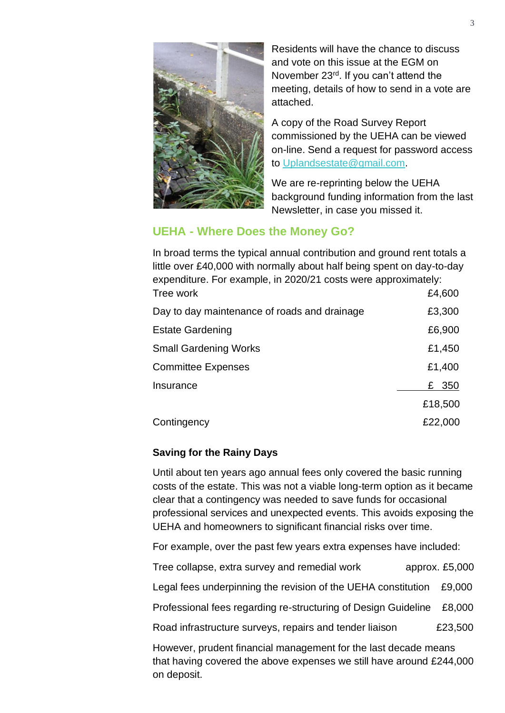

Residents will have the chance to discuss and vote on this issue at the EGM on November 23<sup>rd</sup>. If you can't attend the meeting, details of how to send in a vote are attached.

A copy of the Road Survey Report commissioned by the UEHA can be viewed on-line. Send a request for password access to [Uplandsestate@gmail.com.](mailto:Uplandsestate@gmail.com)

We are re-reprinting below the UEHA background funding information from the last Newsletter, in case you missed it.

#### **UEHA - Where Does the Money Go?**

In broad terms the typical annual contribution and ground rent totals a little over £40,000 with normally about half being spent on day-to-day expenditure. For example, in 2020/21 costs were approximately: Tree work **E4,600** Day to day maintenance of roads and drainage E3,300 Estate Gardening **Example 2018** 2019 12:30 E6,900 Small Gardening Works **E1,450** Committee Expenses **E1,400** Insurance **E** 350 £18,500 Contingency **E22,000** 

#### **Saving for the Rainy Days**

Until about ten years ago annual fees only covered the basic running costs of the estate. This was not a viable long-term option as it became clear that a contingency was needed to save funds for occasional professional services and unexpected events. This avoids exposing the UEHA and homeowners to significant financial risks over time.

For example, over the past few years extra expenses have included:

Tree collapse, extra survey and remedial work approx. £5,000 Legal fees underpinning the revision of the UEHA constitution £9,000

Professional fees regarding re-structuring of Design Guideline £8,000

Road infrastructure surveys, repairs and tender liaison £23,500

However, prudent financial management for the last decade means that having covered the above expenses we still have around £244,000 on deposit.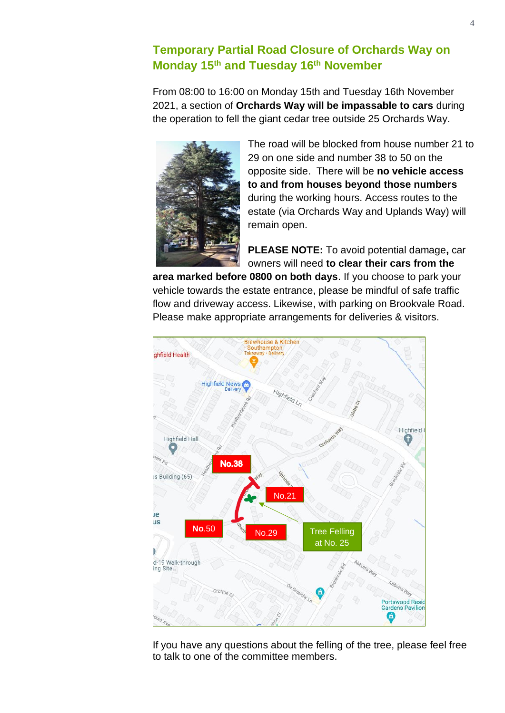#### **Temporary Partial Road Closure of Orchards Way on Monday 15th and Tuesday 16th November**

From 08:00 to 16:00 on Monday 15th and Tuesday 16th November 2021, a section of **Orchards Way will be impassable to cars** during the operation to fell the giant cedar tree outside 25 Orchards Way.



The road will be blocked from house number 21 to 29 on one side and number 38 to 50 on the opposite side. There will be **no vehicle access to and from houses beyond those numbers** during the working hours. Access routes to the estate (via Orchards Way and Uplands Way) will remain open.

**PLEASE NOTE:** To avoid potential damage**,** car owners will need **to clear their cars from the** 

**area marked before 0800 on both days**. If you choose to park your vehicle towards the estate entrance, please be mindful of safe traffic flow and driveway access. Likewise, with parking on Brookvale Road. Please make appropriate arrangements for deliveries & visitors.



If you have any questions about the felling of the tree, please feel free to talk to one of the committee members.